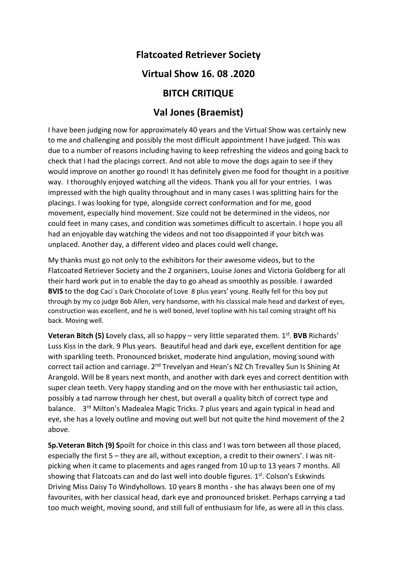# Flatcoated Retriever Society

### Virtual Show 16. 08 .2020

# BITCH CRITIQUE

# Val Jones (Braemist)

I have been judging now for approximately 40 years and the Virtual Show was certainly new to me and challenging and possibly the most difficult appointment I have judged. This was due to a number of reasons including having to keep refreshing the videos and going back to check that I had the placings correct. And not able to move the dogs again to see if they would improve on another go round! It has definitely given me food for thought in a positive way. I thoroughly enjoyed watching all the videos. Thank you all for your entries. I was impressed with the high quality throughout and in many cases I was splitting hairs for the placings. I was looking for type, alongside correct conformation and for me, good movement, especially hind movement. Size could not be determined in the videos, nor could feet in many cases, and condition was sometimes difficult to ascertain. I hope you all had an enjoyable day watching the videos and not too disappointed if your bitch was unplaced. Another day, a different video and places could well change.

My thanks must go not only to the exhibitors for their awesome videos, but to the Flatcoated Retriever Society and the 2 organisers, Louise Jones and Victoria Goldberg for all their hard work put in to enable the day to go ahead as smoothly as possible. I awarded BVIS to the dog Caci´s Dark Chocolate of Love 8 plus years' young. Really fell for this boy put through by my co judge Bob Allen, very handsome, with his classical male head and darkest of eyes, construction was excellent, and he is well boned, level topline with his tail coming straight off his back. Moving well.

Veteran Bitch (5) Lovely class, all so happy - very little separated them. 1<sup>st</sup>. BVB Richards' Luss Kiss in the dark. 9 Plus years. Beautiful head and dark eye, excellent dentition for age with sparkling teeth. Pronounced brisket, moderate hind angulation, moving sound with correct tail action and carriage. 2<sup>nd</sup> Trevelyan and Hean's NZ Ch Trevalley Sun Is Shining At Arangold. Will be 8 years next month, and another with dark eyes and correct dentition with super clean teeth. Very happy standing and on the move with her enthusiastic tail action, possibly a tad narrow through her chest, but overall a quality bitch of correct type and balance. 3<sup>rd</sup> Milton's Madealea Magic Tricks. 7 plus years and again typical in head and eye, she has a lovely outline and moving out well but not quite the hind movement of the 2 above.

Sp.Veteran Bitch (9) Spoilt for choice in this class and I was torn between all those placed, especially the first 5 – they are all, without exception, a credit to their owners'. I was nitpicking when it came to placements and ages ranged from 10 up to 13 years 7 months. All showing that Flatcoats can and do last well into double figures. 1<sup>st</sup>. Colson's Eskwinds Driving Miss Daisy To Windyhollows. 10 years 8 months - she has always been one of my favourites, with her classical head, dark eye and pronounced brisket. Perhaps carrying a tad too much weight, moving sound, and still full of enthusiasm for life, as were all in this class.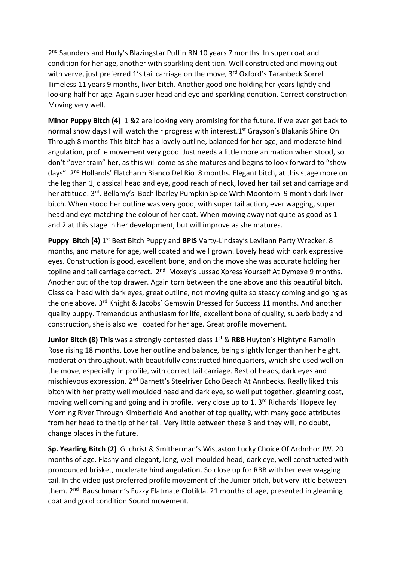2<sup>nd</sup> Saunders and Hurly's Blazingstar Puffin RN 10 years 7 months. In super coat and condition for her age, another with sparkling dentition. Well constructed and moving out with verve, just preferred 1's tail carriage on the move, 3<sup>rd</sup> Oxford's Taranbeck Sorrel Timeless 11 years 9 months, liver bitch. Another good one holding her years lightly and looking half her age. Again super head and eye and sparkling dentition. Correct construction Moving very well.

Minor Puppy Bitch (4) 1 &2 are looking very promising for the future. If we ever get back to normal show days I will watch their progress with interest.1<sup>st</sup> Grayson's Blakanis Shine On Through 8 months This bitch has a lovely outline, balanced for her age, and moderate hind angulation, profile movement very good. Just needs a little more animation when stood, so don't "over train" her, as this will come as she matures and begins to look forward to "show days". 2nd Hollands' Flatcharm Bianco Del Rio 8 months. Elegant bitch, at this stage more on the leg than 1, classical head and eye, good reach of neck, loved her tail set and carriage and her attitude. 3<sup>rd</sup>. Bellamy's Bochilbarley Pumpkin Spice With Moontorn 9 month dark liver bitch. When stood her outline was very good, with super tail action, ever wagging, super head and eye matching the colour of her coat. When moving away not quite as good as 1 and 2 at this stage in her development, but will improve as she matures.

Puppy Bitch (4) 1<sup>st</sup> Best Bitch Puppy and BPIS Varty-Lindsay's Levliann Party Wrecker. 8 months, and mature for age, well coated and well grown. Lovely head with dark expressive eyes. Construction is good, excellent bone, and on the move she was accurate holding her topline and tail carriage correct. 2<sup>nd</sup> Moxey's Lussac Xpress Yourself At Dymexe 9 months. Another out of the top drawer. Again torn between the one above and this beautiful bitch. Classical head with dark eyes, great outline, not moving quite so steady coming and going as the one above. 3<sup>rd</sup> Knight & Jacobs' Gemswin Dressed for Success 11 months. And another quality puppy. Tremendous enthusiasm for life, excellent bone of quality, superb body and construction, she is also well coated for her age. Great profile movement.

**Junior Bitch (8) This** was a strongly contested class  $1^{st}$  & RBB Huyton's Hightyne Ramblin Rose rising 18 months. Love her outline and balance, being slightly longer than her height, moderation throughout, with beautifully constructed hindquarters, which she used well on the move, especially in profile, with correct tail carriage. Best of heads, dark eyes and mischievous expression. 2nd Barnett's Steelriver Echo Beach At Annbecks. Really liked this bitch with her pretty well moulded head and dark eye, so well put together, gleaming coat, moving well coming and going and in profile, very close up to 1. 3<sup>rd</sup> Richards' Hopevalley Morning River Through Kimberfield And another of top quality, with many good attributes from her head to the tip of her tail. Very little between these 3 and they will, no doubt, change places in the future.

Sp. Yearling Bitch (2) Gilchrist & Smitherman's Wistaston Lucky Choice Of Ardmhor JW. 20 months of age. Flashy and elegant, long, well moulded head, dark eye, well constructed with pronounced brisket, moderate hind angulation. So close up for RBB with her ever wagging tail. In the video just preferred profile movement of the Junior bitch, but very little between them. 2<sup>nd</sup> Bauschmann's Fuzzy Flatmate Clotilda. 21 months of age, presented in gleaming coat and good condition.Sound movement.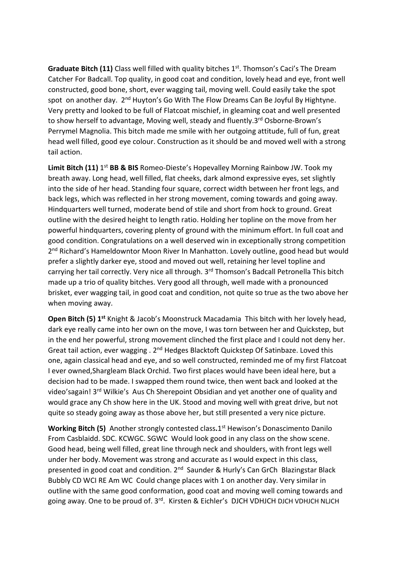Graduate Bitch (11) Class well filled with quality bitches 1<sup>st</sup>. Thomson's Caci's The Dream Catcher For Badcall. Top quality, in good coat and condition, lovely head and eye, front well constructed, good bone, short, ever wagging tail, moving well. Could easily take the spot spot on another day. 2<sup>nd</sup> Huyton's Go With The Flow Dreams Can Be Joyful By Hightyne. Very pretty and looked to be full of Flatcoat mischief, in gleaming coat and well presented to show herself to advantage, Moving well, steady and fluently.3<sup>rd</sup> Osborne-Brown's Perrymel Magnolia. This bitch made me smile with her outgoing attitude, full of fun, great head well filled, good eye colour. Construction as it should be and moved well with a strong tail action.

Limit Bitch (11) 1<sup>st</sup> BB & BIS Romeo-Dieste's Hopevalley Morning Rainbow JW. Took my breath away. Long head, well filled, flat cheeks, dark almond expressive eyes, set slightly into the side of her head. Standing four square, correct width between her front legs, and back legs, which was reflected in her strong movement, coming towards and going away. Hindquarters well turned, moderate bend of stile and short from hock to ground. Great outline with the desired height to length ratio. Holding her topline on the move from her powerful hindquarters, covering plenty of ground with the minimum effort. In full coat and good condition. Congratulations on a well deserved win in exceptionally strong competition 2<sup>nd</sup> Richard's Hameldowntor Moon River In Manhatton. Lovely outline, good head but would prefer a slightly darker eye, stood and moved out well, retaining her level topline and carrying her tail correctly. Very nice all through. 3<sup>rd</sup> Thomson's Badcall Petronella This bitch made up a trio of quality bitches. Very good all through, well made with a pronounced brisket, ever wagging tail, in good coat and condition, not quite so true as the two above her when moving away.

Open Bitch (5) 1<sup>st</sup> Knight & Jacob's Moonstruck Macadamia This bitch with her lovely head, dark eye really came into her own on the move, I was torn between her and Quickstep, but in the end her powerful, strong movement clinched the first place and I could not deny her. Great tail action, ever wagging . 2<sup>nd</sup> Hedges Blacktoft Quickstep Of Satinbaze. Loved this one, again classical head and eye, and so well constructed, reminded me of my first Flatcoat I ever owned,Shargleam Black Orchid. Two first places would have been ideal here, but a decision had to be made. I swapped them round twice, then went back and looked at the video'sagain! 3rd Wilkie's Aus Ch Sherepoint Obsidian and yet another one of quality and would grace any Ch show here in the UK. Stood and moving well with great drive, but not quite so steady going away as those above her, but still presented a very nice picture.

Working Bitch (5) Another strongly contested class.1<sup>st</sup> Hewison's Donascimento Danilo From Casblaidd. SDC. KCWGC. SGWC Would look good in any class on the show scene. Good head, being well filled, great line through neck and shoulders, with front legs well under her body. Movement was strong and accurate as I would expect in this class, presented in good coat and condition. 2<sup>nd</sup> Saunder & Hurly's Can GrCh Blazingstar Black Bubbly CD WCI RE Am WC Could change places with 1 on another day. Very similar in outline with the same good conformation, good coat and moving well coming towards and going away. One to be proud of. 3<sup>rd</sup>. Kirsten & Eichler's DJCH VDHJCH DJCH VDHJCH NLJCH